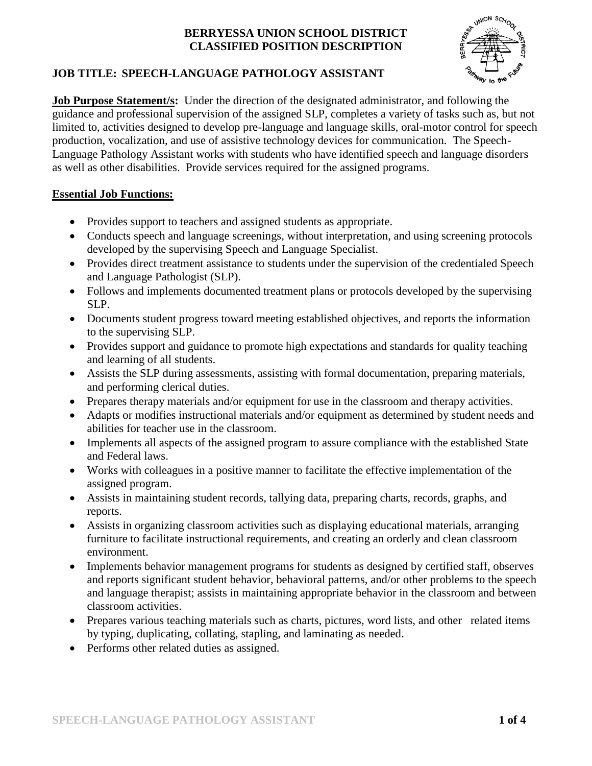

# **JOB TITLE: SPEECH-LANGUAGE PATHOLOGY ASSISTANT**

**Job Purpose Statement/s:** Under the direction of the designated administrator, and following the guidance and professional supervision of the assigned SLP, completes a variety of tasks such as, but not limited to, activities designed to develop pre-language and language skills, oral-motor control for speech production, vocalization, and use of assistive technology devices for communication. The Speech-Language Pathology Assistant works with students who have identified speech and language disorders as well as other disabilities. Provide services required for the assigned programs.

# **Essential Job Functions:**

- Provides support to teachers and assigned students as appropriate.
- Conducts speech and language screenings, without interpretation, and using screening protocols developed by the supervising Speech and Language Specialist.
- Provides direct treatment assistance to students under the supervision of the credentialed Speech and Language Pathologist (SLP).
- Follows and implements documented treatment plans or protocols developed by the supervising SLP.
- Documents student progress toward meeting established objectives, and reports the information to the supervising SLP.
- Provides support and guidance to promote high expectations and standards for quality teaching and learning of all students.
- Assists the SLP during assessments, assisting with formal documentation, preparing materials, and performing clerical duties.
- Prepares therapy materials and/or equipment for use in the classroom and therapy activities.
- Adapts or modifies instructional materials and/or equipment as determined by student needs and abilities for teacher use in the classroom.
- Implements all aspects of the assigned program to assure compliance with the established State and Federal laws.
- Works with colleagues in a positive manner to facilitate the effective implementation of the assigned program.
- Assists in maintaining student records, tallying data, preparing charts, records, graphs, and reports.
- Assists in organizing classroom activities such as displaying educational materials, arranging furniture to facilitate instructional requirements, and creating an orderly and clean classroom environment.
- Implements behavior management programs for students as designed by certified staff, observes and reports significant student behavior, behavioral patterns, and/or other problems to the speech and language therapist; assists in maintaining appropriate behavior in the classroom and between classroom activities.
- Prepares various teaching materials such as charts, pictures, word lists, and other related items by typing, duplicating, collating, stapling, and laminating as needed.
- Performs other related duties as assigned.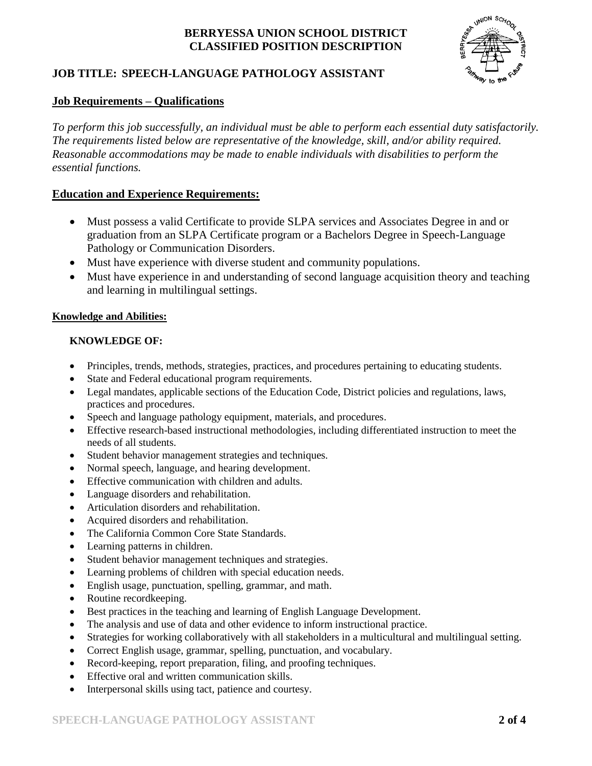# **JOB TITLE: SPEECH-LANGUAGE PATHOLOGY ASSISTANT**



### **Job Requirements – Qualifications**

*To perform this job successfully, an individual must be able to perform each essential duty satisfactorily. The requirements listed below are representative of the knowledge, skill, and/or ability required. Reasonable accommodations may be made to enable individuals with disabilities to perform the essential functions.*

#### **Education and Experience Requirements:**

- Must possess a valid Certificate to provide SLPA services and Associates Degree in and or graduation from an SLPA Certificate program or a Bachelors Degree in Speech-Language Pathology or Communication Disorders.
- Must have experience with diverse student and community populations.
- Must have experience in and understanding of second language acquisition theory and teaching and learning in multilingual settings.

#### **Knowledge and Abilities:**

#### **KNOWLEDGE OF:**

- Principles, trends, methods, strategies, practices, and procedures pertaining to educating students.
- State and Federal educational program requirements.
- Legal mandates, applicable sections of the Education Code, District policies and regulations, laws, practices and procedures.
- Speech and language pathology equipment, materials, and procedures.
- Effective research-based instructional methodologies, including differentiated instruction to meet the needs of all students.
- Student behavior management strategies and techniques.
- Normal speech, language, and hearing development.
- Effective communication with children and adults.
- Language disorders and rehabilitation.
- Articulation disorders and rehabilitation.
- Acquired disorders and rehabilitation.
- The California Common Core State Standards.
- Learning patterns in children.
- Student behavior management techniques and strategies.
- Learning problems of children with special education needs.
- English usage, punctuation, spelling, grammar, and math.
- Routine recordkeeping.
- Best practices in the teaching and learning of English Language Development.
- The analysis and use of data and other evidence to inform instructional practice.
- Strategies for working collaboratively with all stakeholders in a multicultural and multilingual setting.
- Correct English usage, grammar, spelling, punctuation, and vocabulary.
- Record-keeping, report preparation, filing, and proofing techniques.
- Effective oral and written communication skills.
- Interpersonal skills using tact, patience and courtesy.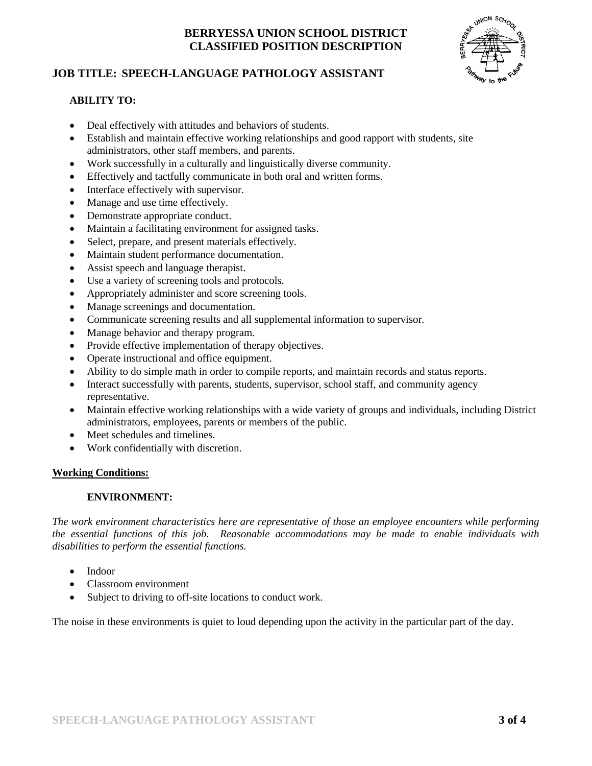## **JOB TITLE: SPEECH-LANGUAGE PATHOLOGY ASSISTANT**



#### **ABILITY TO:**

- Deal effectively with attitudes and behaviors of students.
- Establish and maintain effective working relationships and good rapport with students, site administrators, other staff members, and parents.
- Work successfully in a culturally and linguistically diverse community.
- Effectively and tactfully communicate in both oral and written forms.
- Interface effectively with supervisor.
- Manage and use time effectively.
- Demonstrate appropriate conduct.
- Maintain a facilitating environment for assigned tasks.
- Select, prepare, and present materials effectively.
- Maintain student performance documentation.
- Assist speech and language therapist.
- Use a variety of screening tools and protocols.
- Appropriately administer and score screening tools.
- Manage screenings and documentation.
- Communicate screening results and all supplemental information to supervisor.
- Manage behavior and therapy program.
- Provide effective implementation of therapy objectives.
- Operate instructional and office equipment.
- Ability to do simple math in order to compile reports, and maintain records and status reports.
- Interact successfully with parents, students, supervisor, school staff, and community agency representative.
- Maintain effective working relationships with a wide variety of groups and individuals, including District administrators, employees, parents or members of the public.
- Meet schedules and timelines.
- Work confidentially with discretion.

#### **Working Conditions:**

#### **ENVIRONMENT:**

*The work environment characteristics here are representative of those an employee encounters while performing the essential functions of this job. Reasonable accommodations may be made to enable individuals with disabilities to perform the essential functions.*

- Indoor
- Classroom environment
- Subject to driving to off-site locations to conduct work.

The noise in these environments is quiet to loud depending upon the activity in the particular part of the day.